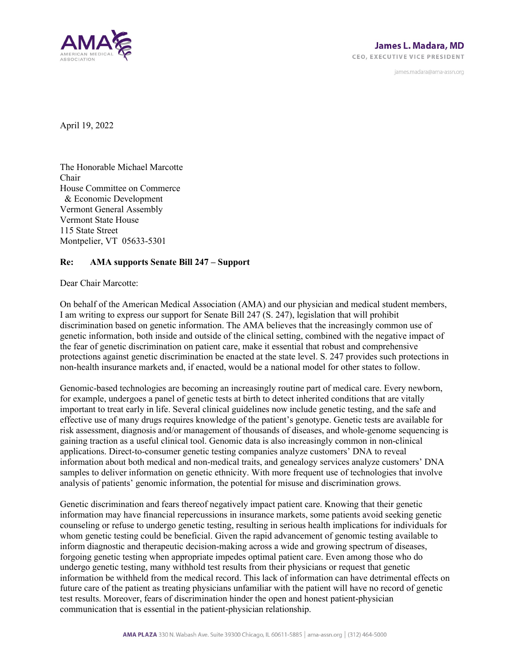

james.madara@ama-assn.org

April 19, 2022

The Honorable Michael Marcotte Chair House Committee on Commerce & Economic Development Vermont General Assembly Vermont State House 115 State Street Montpelier, VT 05633-5301

## **Re: AMA supports Senate Bill 247 – Support**

Dear Chair Marcotte:

On behalf of the American Medical Association (AMA) and our physician and medical student members, I am writing to express our support for Senate Bill 247 (S. 247), legislation that will prohibit discrimination based on genetic information. The AMA believes that the increasingly common use of genetic information, both inside and outside of the clinical setting, combined with the negative impact of the fear of genetic discrimination on patient care, make it essential that robust and comprehensive protections against genetic discrimination be enacted at the state level. S. 247 provides such protections in non-health insurance markets and, if enacted, would be a national model for other states to follow.

Genomic-based technologies are becoming an increasingly routine part of medical care. Every newborn, for example, undergoes a panel of genetic tests at birth to detect inherited conditions that are vitally important to treat early in life. Several clinical guidelines now include genetic testing, and the safe and effective use of many drugs requires knowledge of the patient's genotype. Genetic tests are available for risk assessment, diagnosis and/or management of thousands of diseases, and whole-genome sequencing is gaining traction as a useful clinical tool. Genomic data is also increasingly common in non-clinical applications. Direct-to-consumer genetic testing companies analyze customers' DNA to reveal information about both medical and non-medical traits, and genealogy services analyze customers' DNA samples to deliver information on genetic ethnicity. With more frequent use of technologies that involve analysis of patients' genomic information, the potential for misuse and discrimination grows.

Genetic discrimination and fears thereof negatively impact patient care. Knowing that their genetic information may have financial repercussions in insurance markets, some patients avoid seeking genetic counseling or refuse to undergo genetic testing, resulting in serious health implications for individuals for whom genetic testing could be beneficial. Given the rapid advancement of genomic testing available to inform diagnostic and therapeutic decision-making across a wide and growing spectrum of diseases, forgoing genetic testing when appropriate impedes optimal patient care. Even among those who do undergo genetic testing, many withhold test results from their physicians or request that genetic information be withheld from the medical record. This lack of information can have detrimental effects on future care of the patient as treating physicians unfamiliar with the patient will have no record of genetic test results. Moreover, fears of discrimination hinder the open and honest patient-physician communication that is essential in the patient-physician relationship.